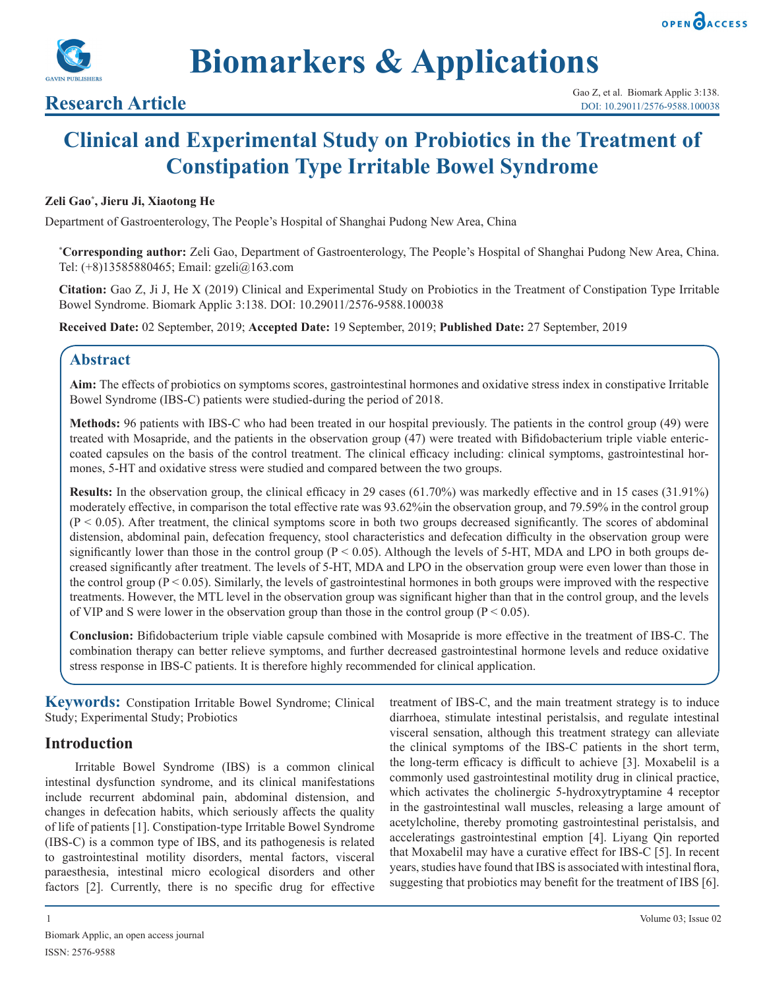



**Biomarkers & Applications**

# **Clinical and Experimental Study on Probiotics in the Treatment of Constipation Type Irritable Bowel Syndrome**

# **Zeli Gao\* , Jieru Ji, Xiaotong He**

Department of Gastroenterology, The People's Hospital of Shanghai Pudong New Area, China

**\* Corresponding author:** Zeli Gao, Department of Gastroenterology, The People's Hospital of Shanghai Pudong New Area, China. Tel: (+8)13585880465; Email: gzeli@163.com

**Citation:** Gao Z, Ji J, He X (2019) Clinical and Experimental Study on Probiotics in the Treatment of Constipation Type Irritable Bowel Syndrome. Biomark Applic 3:138. DOI: 10.29011/2576-9588.100038

**Received Date:** 02 September, 2019; **Accepted Date:** 19 September, 2019; **Published Date:** 27 September, 2019

# **Abstract**

**Aim:** The effects of probiotics on symptoms scores, gastrointestinal hormones and oxidative stress index in constipative Irritable Bowel Syndrome (IBS-C) patients were studied-during the period of 2018.

**Methods:** 96 patients with IBS-C who had been treated in our hospital previously. The patients in the control group (49) were treated with Mosapride, and the patients in the observation group (47) were treated with Bifidobacterium triple viable entericcoated capsules on the basis of the control treatment. The clinical efficacy including: clinical symptoms, gastrointestinal hormones, 5-HT and oxidative stress were studied and compared between the two groups.

**Results:** In the observation group, the clinical efficacy in 29 cases (61.70%) was markedly effective and in 15 cases (31.91%) moderately effective, in comparison the total effective rate was 93.62%in the observation group, and 79.59% in the control group  $(P < 0.05)$ . After treatment, the clinical symptoms score in both two groups decreased significantly. The scores of abdominal distension, abdominal pain, defecation frequency, stool characteristics and defecation difficulty in the observation group were significantly lower than those in the control group ( $P < 0.05$ ). Although the levels of 5-HT, MDA and LPO in both groups decreased significantly after treatment. The levels of 5-HT, MDA and LPO in the observation group were even lower than those in the control group  $(P < 0.05)$ . Similarly, the levels of gastrointestinal hormones in both groups were improved with the respective treatments. However, the MTL level in the observation group was significant higher than that in the control group, and the levels of VIP and S were lower in the observation group than those in the control group ( $P < 0.05$ ).

**Conclusion:** Bifidobacterium triple viable capsule combined with Mosapride is more effective in the treatment of IBS-C. The combination therapy can better relieve symptoms, and further decreased gastrointestinal hormone levels and reduce oxidative stress response in IBS-C patients. It is therefore highly recommended for clinical application.

**Keywords:** Constipation Irritable Bowel Syndrome; Clinical Study; Experimental Study; Probiotics

# **Introduction**

Irritable Bowel Syndrome (IBS) is a common clinical intestinal dysfunction syndrome, and its clinical manifestations include recurrent abdominal pain, abdominal distension, and changes in defecation habits, which seriously affects the quality of life of patients [1]. Constipation-type Irritable Bowel Syndrome (IBS-C) is a common type of IBS, and its pathogenesis is related to gastrointestinal motility disorders, mental factors, visceral paraesthesia, intestinal micro ecological disorders and other factors [2]. Currently, there is no specific drug for effective

treatment of IBS-C, and the main treatment strategy is to induce diarrhoea, stimulate intestinal peristalsis, and regulate intestinal visceral sensation, although this treatment strategy can alleviate the clinical symptoms of the IBS-C patients in the short term, the long-term efficacy is difficult to achieve [3]. Moxabelil is a commonly used gastrointestinal motility drug in clinical practice, which activates the cholinergic 5-hydroxytryptamine 4 receptor in the gastrointestinal wall muscles, releasing a large amount of acetylcholine, thereby promoting gastrointestinal peristalsis, and acceleratings gastrointestinal emption [4]. Liyang Qin reported that Moxabelil may have a curative effect for IBS-C [5]. In recent years, studies have found that IBS is associated with intestinal flora, suggesting that probiotics may benefit for the treatment of IBS [6].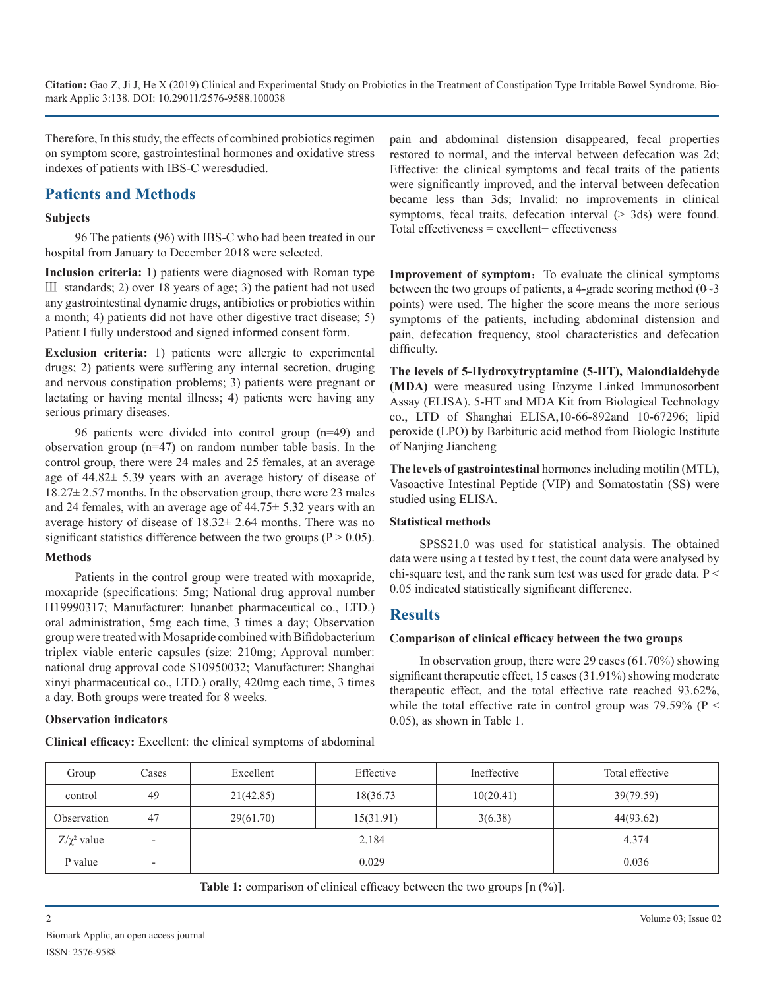Therefore, In this study, the effects of combined probiotics regimen on symptom score, gastrointestinal hormones and oxidative stress indexes of patients with IBS-C weresdudied.

# **Patients and Methods**

#### **Subjects**

96 The patients (96) with IBS-C who had been treated in our hospital from January to December 2018 were selected.

**Inclusion criteria:** 1) patients were diagnosed with Roman type Ⅲ standards; 2) over 18 years of age; 3) the patient had not used any gastrointestinal dynamic drugs, antibiotics or probiotics within a month; 4) patients did not have other digestive tract disease; 5) Patient I fully understood and signed informed consent form.

**Exclusion criteria:** 1) patients were allergic to experimental drugs; 2) patients were suffering any internal secretion, druging and nervous constipation problems; 3) patients were pregnant or lactating or having mental illness; 4) patients were having any serious primary diseases.

96 patients were divided into control group (n=49) and observation group (n=47) on random number table basis. In the control group, there were 24 males and 25 females, at an average age of 44.82± 5.39 years with an average history of disease of 18.27± 2.57 months. In the observation group, there were 23 males and 24 females, with an average age of 44.75± 5.32 years with an average history of disease of 18.32± 2.64 months. There was no significant statistics difference between the two groups ( $P > 0.05$ ).

#### **Methods**

Patients in the control group were treated with moxapride, moxapride (specifications: 5mg; National drug approval number H19990317; Manufacturer: lunanbet pharmaceutical co., LTD.) oral administration, 5mg each time, 3 times a day; Observation group were treated with Mosapride combined with Bifidobacterium triplex viable enteric capsules (size: 210mg; Approval number: national drug approval code S10950032; Manufacturer: Shanghai xinyi pharmaceutical co., LTD.) orally, 420mg each time, 3 times a day. Both groups were treated for 8 weeks.

# **Observation indicators**

**Clinical efficacy:** Excellent: the clinical symptoms of abdominal

pain and abdominal distension disappeared, fecal properties restored to normal, and the interval between defecation was 2d; Effective: the clinical symptoms and fecal traits of the patients were significantly improved, and the interval between defecation became less than 3ds; Invalid: no improvements in clinical symptoms, fecal traits, defecation interval  $(> 3d)$  were found. Total effectiveness = excellent+ effectiveness

**Improvement of symptom:** To evaluate the clinical symptoms between the two groups of patients, a 4-grade scoring method  $(0~3)$ points) were used. The higher the score means the more serious symptoms of the patients, including abdominal distension and pain, defecation frequency, stool characteristics and defecation difficulty.

**The levels of 5-Hydroxytryptamine (5-HT), Malondialdehyde (MDA)** were measured using Enzyme Linked Immunosorbent Assay (ELISA). 5-HT and MDA Kit from Biological Technology co., LTD of Shanghai ELISA,10-66-892and 10-67296; lipid peroxide (LPO) by Barbituric acid method from Biologic Institute of Nanjing Jiancheng

**The levels of gastrointestinal** hormones including motilin (MTL), Vasoactive Intestinal Peptide (VIP) and Somatostatin (SS) were studied using ELISA.

# **Statistical methods**

SPSS21.0 was used for statistical analysis. The obtained data were using a t tested by t test, the count data were analysed by chi-square test, and the rank sum test was used for grade data.  $P \leq$ 0.05 indicated statistically significant difference.

# **Results**

# **Comparison of clinical efficacy between the two groups**

In observation group, there were 29 cases (61.70%) showing significant therapeutic effect, 15 cases (31.91%) showing moderate therapeutic effect, and the total effective rate reached 93.62%, while the total effective rate in control group was  $79.59\%$  (P < 0.05), as shown in Table 1.

| Group            | Cases                    | Excellent | Effective | Ineffective | Total effective |
|------------------|--------------------------|-----------|-----------|-------------|-----------------|
| control          | 49                       | 21(42.85) | 18(36.73) | 10(20.41)   | 39(79.59)       |
| Observation      | 47                       | 29(61.70) | 15(31.91) | 3(6.38)     | 44(93.62)       |
| $Z/\chi^2$ value | $\overline{\phantom{0}}$ |           | 2.184     |             | 4.374           |
| P value          | $\overline{\phantom{a}}$ |           | 0.029     |             | 0.036           |

**Table 1:** comparison of clinical efficacy between the two groups  $\lceil n \binom{0}{0} \rceil$ .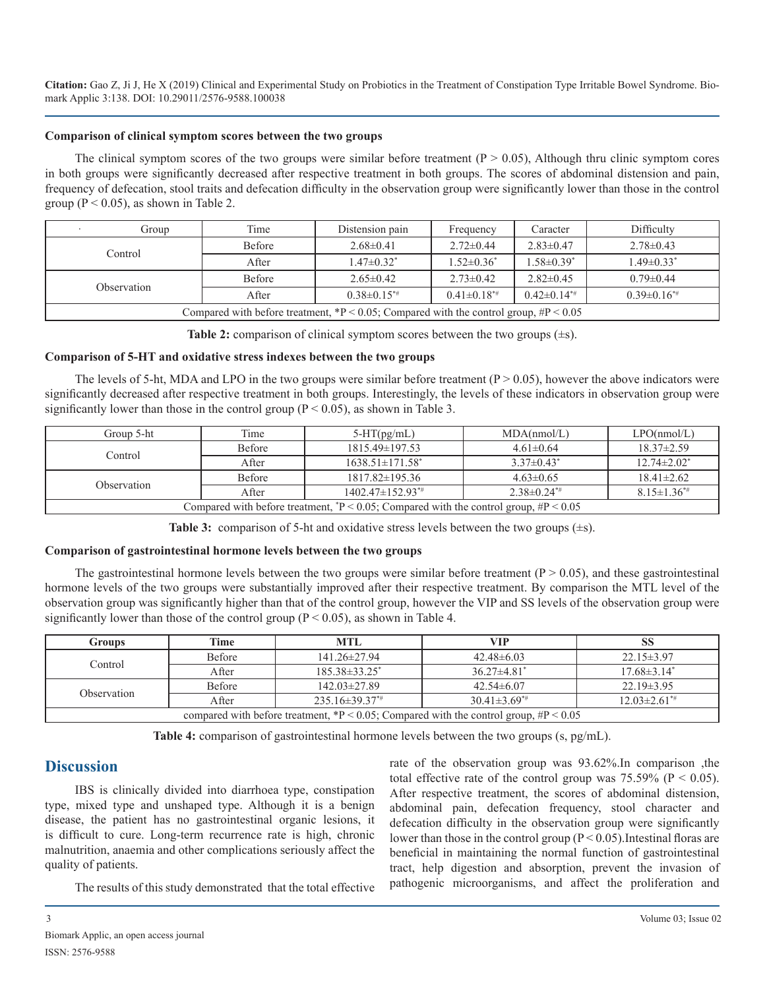#### **Comparison of clinical symptom scores between the two groups**

The clinical symptom scores of the two groups were similar before treatment  $(P > 0.05)$ , Although thru clinic symptom cores in both groups were significantly decreased after respective treatment in both groups. The scores of abdominal distension and pain, frequency of defecation, stool traits and defecation difficulty in the observation group were significantly lower than those in the control group ( $P < 0.05$ ), as shown in Table 2.

| Group                                                                                      | Time          | Distension pain     | Frequency         | Caracter          | Difficulty                   |
|--------------------------------------------------------------------------------------------|---------------|---------------------|-------------------|-------------------|------------------------------|
| Control                                                                                    | Before        | $2.68\pm0.41$       | $2.72 \pm 0.44$   | $2.83 \pm 0.47$   | $2.78 \pm 0.43$              |
|                                                                                            | After         | $1.47 \pm 0.32^*$   | $1.52 \pm 0.36^*$ | $1.58 \pm 0.39^*$ | $1.49 \pm 0.33$ <sup>*</sup> |
|                                                                                            | <b>Before</b> | $2.65 \pm 0.42$     | $2.73 \pm 0.42$   | $2.82 \pm 0.45$   | $0.79 \pm 0.44$              |
| Observation                                                                                | After         | $0.38 \pm 0.15^{*}$ | $0.41\pm0.18**$   | $0.42\pm0.14^{*}$ | $0.39 \pm 0.16^{*}$          |
| Compared with before treatment, $P < 0.05$ ; Compared with the control group, $\#P < 0.05$ |               |                     |                   |                   |                              |

**Table 2:** comparison of clinical symptom scores between the two groups (±s).

#### **Comparison of 5-HT and oxidative stress indexes between the two groups**

The levels of 5-ht, MDA and LPO in the two groups were similar before treatment ( $P > 0.05$ ), however the above indicators were significantly decreased after respective treatment in both groups. Interestingly, the levels of these indicators in observation group were significantly lower than those in the control group  $(P < 0.05)$ , as shown in Table 3.

| Group 5-ht                                                                                 | Time          | $5-HT(pg/mL)$                     | MDA(nmol/L)                  | LPO(nmol/L)                   |  |
|--------------------------------------------------------------------------------------------|---------------|-----------------------------------|------------------------------|-------------------------------|--|
| Control                                                                                    | Before        | $1815.49\pm 197.53$               | $4.61 \pm 0.64$              | $18.37 \pm 2.59$              |  |
|                                                                                            | After         | $1638.51 \pm 171.58$ <sup>*</sup> | $3.37 \pm 0.43$ <sup>*</sup> | $12.74 \pm 2.02^*$            |  |
|                                                                                            | <b>Before</b> | $1817.82 \pm 195.36$              | $4.63 \pm 0.65$              | $18.41 \pm 2.62$              |  |
| Observation                                                                                | After         | $1402.47\pm152.93**$              | $2.38\pm0.24^{*}$            | $8.15 \pm 1.36$ <sup>*#</sup> |  |
| Compared with before treatment, $P < 0.05$ ; Compared with the control group, $\#P < 0.05$ |               |                                   |                              |                               |  |

**Table 3:** comparison of 5-ht and oxidative stress levels between the two groups (±s).

#### **Comparison of gastrointestinal hormone levels between the two groups**

The gastrointestinal hormone levels between the two groups were similar before treatment  $(P > 0.05)$ , and these gastrointestinal hormone levels of the two groups were substantially improved after their respective treatment. By comparison the MTL level of the observation group was significantly higher than that of the control group, however the VIP and SS levels of the observation group were significantly lower than those of the control group ( $P < 0.05$ ), as shown in Table 4.

| Groups                                                                                   | Time   | <b>MTL</b>             | VIP                  | DO.                            |  |
|------------------------------------------------------------------------------------------|--------|------------------------|----------------------|--------------------------------|--|
| Control                                                                                  | Before | $141.26 \pm 27.94$     | $42.48\pm 6.03$      | $22.15 \pm 3.97$               |  |
|                                                                                          | After  | $185.38\pm33.25^*$     | $36.27 \pm 4.81^*$   | $17.68 \pm 3.14^*$             |  |
| Observation                                                                              | Before | $142.03 \pm 27.89$     | $42.54\pm 6.07$      | $22.19 \pm 3.95$               |  |
|                                                                                          | After  | $235.16 \pm 39.37^{*}$ | $30.41 \pm 3.69^{*}$ | $12.03 \pm 2.61$ <sup>**</sup> |  |
| compared with before treatment, *P < 0.05; Compared with the control group, $\#P$ < 0.05 |        |                        |                      |                                |  |

**Table 4:** comparison of gastrointestinal hormone levels between the two groups (s, pg/mL).

# **Discussion**

IBS is clinically divided into diarrhoea type, constipation type, mixed type and unshaped type. Although it is a benign disease, the patient has no gastrointestinal organic lesions, it is difficult to cure. Long-term recurrence rate is high, chronic malnutrition, anaemia and other complications seriously affect the quality of patients.

The results of this study demonstrated that the total effective

rate of the observation group was 93.62%.In comparison ,the total effective rate of the control group was  $75.59\%$  (P < 0.05). After respective treatment, the scores of abdominal distension, abdominal pain, defecation frequency, stool character and defecation difficulty in the observation group were significantly lower than those in the control group  $(P < 0.05)$ . Intestinal floras are beneficial in maintaining the normal function of gastrointestinal tract, help digestion and absorption, prevent the invasion of pathogenic microorganisms, and affect the proliferation and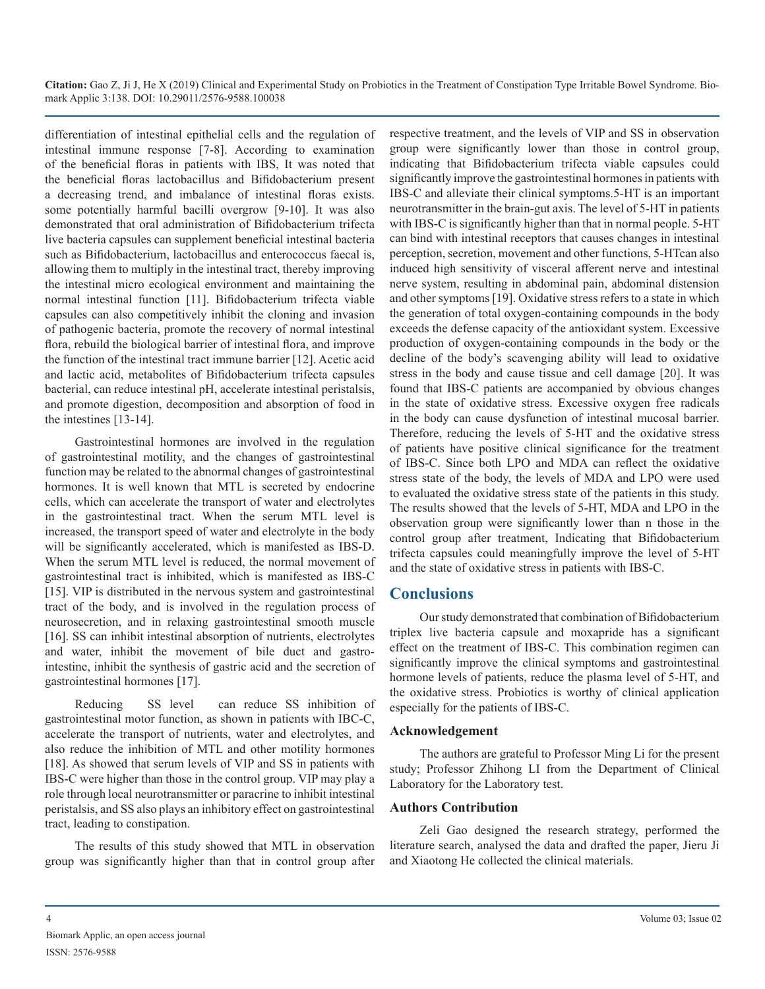differentiation of intestinal epithelial cells and the regulation of intestinal immune response [7-8]. According to examination of the beneficial floras in patients with IBS, It was noted that the beneficial floras lactobacillus and Bifidobacterium present a decreasing trend, and imbalance of intestinal floras exists. some potentially harmful bacilli overgrow [9-10]. It was also demonstrated that oral administration of Bifidobacterium trifecta live bacteria capsules can supplement beneficial intestinal bacteria such as Bifidobacterium, lactobacillus and enterococcus faecal is, allowing them to multiply in the intestinal tract, thereby improving the intestinal micro ecological environment and maintaining the normal intestinal function [11]. Bifidobacterium trifecta viable capsules can also competitively inhibit the cloning and invasion of pathogenic bacteria, promote the recovery of normal intestinal flora, rebuild the biological barrier of intestinal flora, and improve the function of the intestinal tract immune barrier [12]. Acetic acid and lactic acid, metabolites of Bifidobacterium trifecta capsules bacterial, can reduce intestinal pH, accelerate intestinal peristalsis, and promote digestion, decomposition and absorption of food in the intestines [13-14].

Gastrointestinal hormones are involved in the regulation of gastrointestinal motility, and the changes of gastrointestinal function may be related to the abnormal changes of gastrointestinal hormones. It is well known that MTL is secreted by endocrine cells, which can accelerate the transport of water and electrolytes in the gastrointestinal tract. When the serum MTL level is increased, the transport speed of water and electrolyte in the body will be significantly accelerated, which is manifested as IBS-D. When the serum MTL level is reduced, the normal movement of gastrointestinal tract is inhibited, which is manifested as IBS-C [15]. VIP is distributed in the nervous system and gastrointestinal tract of the body, and is involved in the regulation process of neurosecretion, and in relaxing gastrointestinal smooth muscle [16]. SS can inhibit intestinal absorption of nutrients, electrolytes and water, inhibit the movement of bile duct and gastrointestine, inhibit the synthesis of gastric acid and the secretion of gastrointestinal hormones [17].

Reducing SS level can reduce SS inhibition of gastrointestinal motor function, as shown in patients with IBC-C, accelerate the transport of nutrients, water and electrolytes, and also reduce the inhibition of MTL and other motility hormones [18]. As showed that serum levels of VIP and SS in patients with IBS-C were higher than those in the control group. VIP may play a role through local neurotransmitter or paracrine to inhibit intestinal peristalsis, and SS also plays an inhibitory effect on gastrointestinal tract, leading to constipation.

The results of this study showed that MTL in observation group was significantly higher than that in control group after respective treatment, and the levels of VIP and SS in observation group were significantly lower than those in control group, indicating that Bifidobacterium trifecta viable capsules could significantly improve the gastrointestinal hormones in patients with IBS-C and alleviate their clinical symptoms.5-HT is an important neurotransmitter in the brain-gut axis. The level of 5-HT in patients with IBS-C is significantly higher than that in normal people. 5-HT can bind with intestinal receptors that causes changes in intestinal perception, secretion, movement and other functions, 5-HTcan also induced high sensitivity of visceral afferent nerve and intestinal nerve system, resulting in abdominal pain, abdominal distension and other symptoms [19]. Oxidative stress refers to a state in which the generation of total oxygen-containing compounds in the body exceeds the defense capacity of the antioxidant system. Excessive production of oxygen-containing compounds in the body or the decline of the body's scavenging ability will lead to oxidative stress in the body and cause tissue and cell damage [20]. It was found that IBS-C patients are accompanied by obvious changes in the state of oxidative stress. Excessive oxygen free radicals in the body can cause dysfunction of intestinal mucosal barrier. Therefore, reducing the levels of 5-HT and the oxidative stress of patients have positive clinical significance for the treatment of IBS-C. Since both LPO and MDA can reflect the oxidative stress state of the body, the levels of MDA and LPO were used to evaluated the oxidative stress state of the patients in this study. The results showed that the levels of 5-HT, MDA and LPO in the observation group were significantly lower than n those in the control group after treatment, Indicating that Bifidobacterium trifecta capsules could meaningfully improve the level of 5-HT and the state of oxidative stress in patients with IBS-C.

# **Conclusions**

Our study demonstrated that combination of Bifidobacterium triplex live bacteria capsule and moxapride has a significant effect on the treatment of IBS-C. This combination regimen can significantly improve the clinical symptoms and gastrointestinal hormone levels of patients, reduce the plasma level of 5-HT, and the oxidative stress. Probiotics is worthy of clinical application especially for the patients of IBS-C.

# **Acknowledgement**

The authors are grateful to Professor Ming Li for the present study; Professor Zhihong LI from the Department of Clinical Laboratory for the Laboratory test.

# **Authors Contribution**

Zeli Gao designed the research strategy, performed the literature search, analysed the data and drafted the paper, Jieru Ji and Xiaotong He collected the clinical materials.